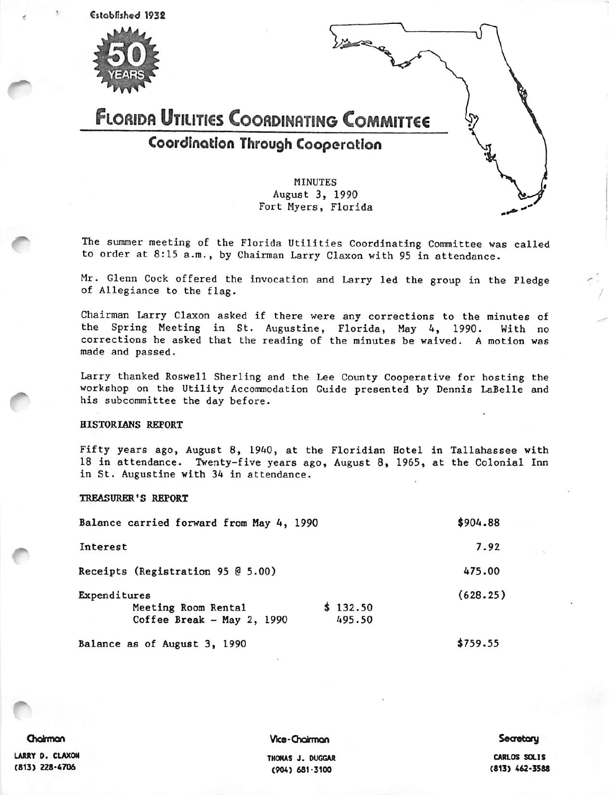

The summer meeting of the Florida Utilities Coordinating Committee was called to order at 8:15 a.m., by Chairman Larry Claxon with 95 in attendance.

Mr. Glenn Cock offered the invocation and Larry led the group in the Fledge of Allegiance to the flag.

Chairman Larry Claxon asked if there were any corrections to the minutes of the Spring Meeting in St. Augustine, Florida, May 4, 1990. With no corrections he asked that the reading of the minutes be waived. A motion was made and passed.

Larry thanked Roswell Sherling and the Lee County Cooperative for hosting the workshop on the Utility Accommodation Guide presented by Dennis LaBelle and his subcommittee the day before.

#### HISTORIANS REPORT

Fifty years ago, August 8, 1940, at the Floridian Hotel in Tallahassee with 18 in attendance. Twenty-five years ago, August 8, 1965, at the Colonial Inn in St. Augustine with 34 in attendance.

#### TREASURER'S REPORT

| Balance carried forward from May 4, 1990 | \$904.88 |
|------------------------------------------|----------|
| Interest                                 | 7.92     |
| Receipts (Registration 95 @ 5.00)        | 475.00   |
| Expenditures                             | (628.25) |
| \$132.50<br>Meeting Room Rental          |          |
| Coffee Break - May 2, 1990<br>495.50     |          |
| Balance as of August 3, 1990             | \$759.55 |

Otdrmon

Vice-Chairman

## **Secretary**

LARRY D. CLAXON (813) 228-4706

THOMAS J. DUGGAR (904) 681-3100

CARLOS SOLIS (813) 462-3588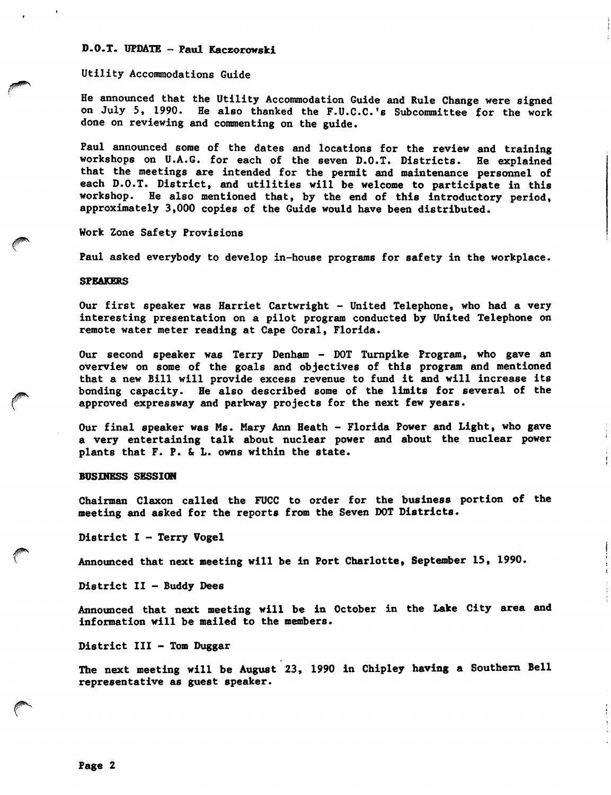# D.O.T. UPDATE - Paul Kaczorowski

## Utility Accommodations Guide

He announced that the Utility Accommodation Guide and Rule Change were signed on July 5, 1990. He also thanked the F.U.C.C.'s Subcommittee for the work done on reviewing and commenting on the guide.

Paul announced some of the dates and locations for the review and training workshops on U.A.G. for each of the seven D.O.T. Districts. He explained that the meetings are intended for the permit and maintenance personnel of each D.O.T. District, and utilities will be welcome to participate in this workshop. He also mentioned that, by the end of this introductory period, approximately 3,000 copies of the Guide would have been distributed.

Work Zone Safety Provisions

Paul asked everybody to develop in-house programs for safety in the workplace.

#### SPEAKERS

Our first speaker was Harriet Cartwright - United Telephone, who had a very interesting presentation on a pilot program conducted by United Telephone on remote water meter reading at Cape Coral, Florida.

Our second speaker was Terry Denham - DOT Turnpike Program, who gave an overview on some of the goals and objectives of this program and mentioned that a new Bill will provide excess revenue to fund it and will increase its bonding capacity. He also described some of the limits for several of the approved expressway and parkway projects for the next few years.

Our final speaker was Ms. Mary Ann Heath - Florida Power and Light, who gave a very entertaining talk about nuclear power and about the nuclear power plants that F. P. & L. owns within the state.

### BUSIHESS SESSION

Chairman Claxon called the FUCC to order for the business portion of the meeting and asked for the reports from the Seven DOT Districts.

District I - Terry Vogel

Announced that next meeting will be in Port Charlotte, September 15, 1990.

District II - Buddy Dees

Announced that next meeting will be in October in the Lake City area and information will be mailed to the members.

District III - Tom Duggar

The next meeting will be August 23, 1990 in Chipley having a Southern Bell representative as guest speaker.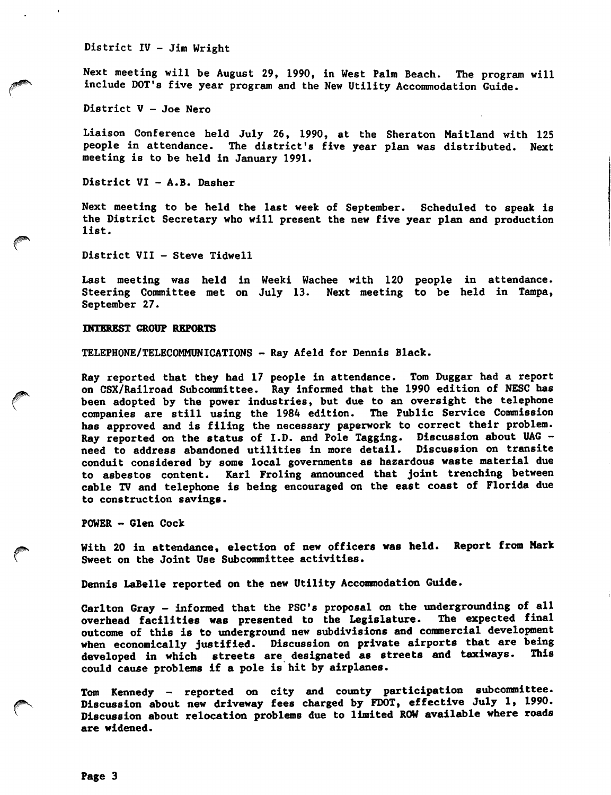District IV - Jim Wright

Next meeting will be August 29, 1990, in West Palm Beach. The program will include DDI's five year program and the New Utility Accommodation Guide.

District V — Joe Nero

Liaison Conference held July 26, 1990, at the Sheraton Maitland with 125 people in attendance. The district's five year plan was distributed. Next meeting is to be held in January 1991.

District VI - A.B. Dasher

Next meeting to be held the last week of September. Scheduled to speak is the District Secretary who will present the new five year plan and production list.

District VII - Steve Tidwell

Last meeting was held in Weeki Wachee with 120 people in attendance. Steering Committee met on July 13. Next meeting to be held in Tampa, September 27.

## INTSRBST OkOUP REPORTS

TELEPHONE/TELECOMMUNICATIONS - Ray Afeld for Dennis Black.

Ray reported that they had 17 people in attendance. Tom Duggar had a report on CSX/Railroad Subcommittee. Ray informed that the 1990 edition of NESC has been adopted by the power industries, but due to an oversight the telephone companies are still using the 1984 edition. The Public Service Commission has approved and is filing the necessary paperwork to correct their problem. Ray reported on the status of I.D. and Pole Tagging. Discussion about UAG need to address abandoned utilities in more detail. Discussion on transite conduit considered by some local governments as hazardous waste material due to asbestos content. Karl Froling announced that joint trenching between cable TV and telephone is being encouraged on the east coast of Florida due to construction savings.

POWER - Glen Cock

With 20 in attendance, election of new officers was held. Report from Mark Sweet on the Joint Use Subcommittee activities.

Dennis LaBelle reported on the new Utility Accommodation Guide.

Garlton Gray - informed that the PSC's proposal on the undergrounding of all overhead facilities was presented to the Legislature. The expected final outcome of this is to underground new subdivisions and commercial development when economically justified. Discussion on private airports that are being<br>developed in which, streets are designated as streets and taxiways. This developed in which streets are designated as streets and taxiways. could cause problems if a pole is hit by airplanes.

Tom Kennedy - reported on city and county participation subcommittee. Discussion about new driveway fees charged by FDOT, effective July 1, 1990. Discussion about relocation problems due to limited ROW available where roads are widened.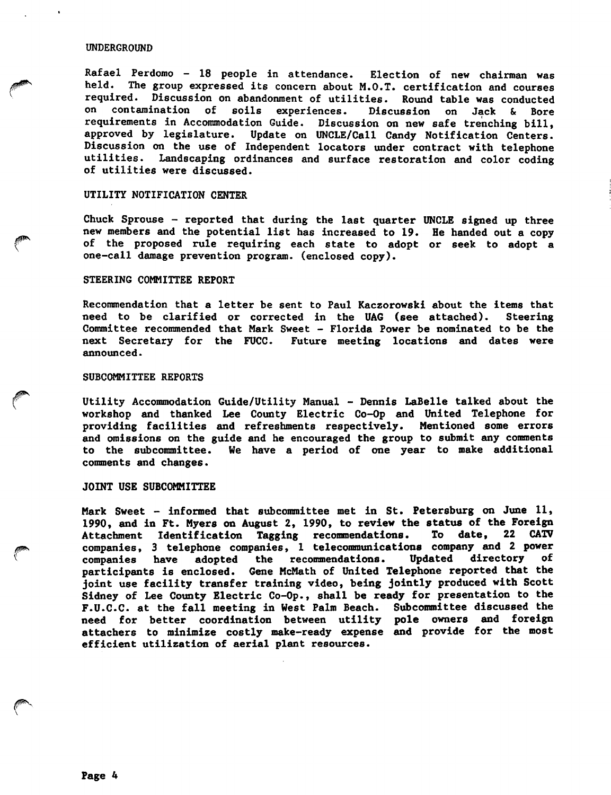#### UNDERGROUND

Rafael Perdomo - 18 people in attendance. Election of new chairman was held. The group expressed its concern about M.O.T. certification and courses required. Discussion on abandonment of utilities. Round table was conducted on contamination of soils experiences. Discussion on Jack & Bore requirements in Accommodation Guide. Discussion on new safe trenching bill, approved by legislature. Update on UNCLE/Call Candy Notification Centers. Discussion on the use of Independent locators under contract with telephone utilities. Landscaping ordinances and surface restoration and color coding of utilities were discussed.

## UTILITY NOTIFICATION CENTER

Chuck Sprouse - reported that during the last quarter UNCLE signed up three new members and the potential list has increased to 19. He handed out a copy of the proposed rule requiring each state to adopt or seek to adopt a one-call damage prevention program, (enclosed copy).

## STEERING COMMITTEE REPORT

Recommendation that a letter be sent to Paul Kaczorowski about the items that need to be clarified or corrected in the UAG (see attached). Steering Committee recommended that Mark Sweet - Florida Power be nominated to be the next Secretary for the FUCC. Future meeting locations and dates were announced.

#### SUBCOMMITTEE REPORTS

Utility Accommodation Guide/Utility Manual - Dennis LaBelle talked about the workshop and thanked Lee County Electric Co-Op and United Telephone for providing facilities and refreshments respectively. Mentioned some errors and omissions on the guide and he encouraged the group to submit any comments to the subcommittee. We have a period of one year to make additional comments and changes.

### JOINT USE SUBCOMMITTEE

Mark Sweet - informed that subcommittee met in St. Petersburg on June 11, 1990, and in Ft. Myers on August 2, 1990, to review the status of the Foreign<br>Attachment Identification Tagging recommendations. To date, 22 CATV Attachment Identification Tagging recommendations. companies, 3 telephone companies, 1 telecommunications company and 2 power<br>companies have adopted the recommendations. Updated directory of companies have adopted the recommendations. participants is enclosed. Gene HcMath of United Telephone reported that the joint use facility transfer training video, being jointly produced with Scott Sidney of Lee County Electric Co-Op., shall be ready for presentation to the F.U.C.C. at the fall meeting in West Palm Beach. Subcommittee discussed the need for better coordination between utility pole owners and foreign attachers to minimize costly make-ready expense and provide for the most efficient utilization of aerial plant resources.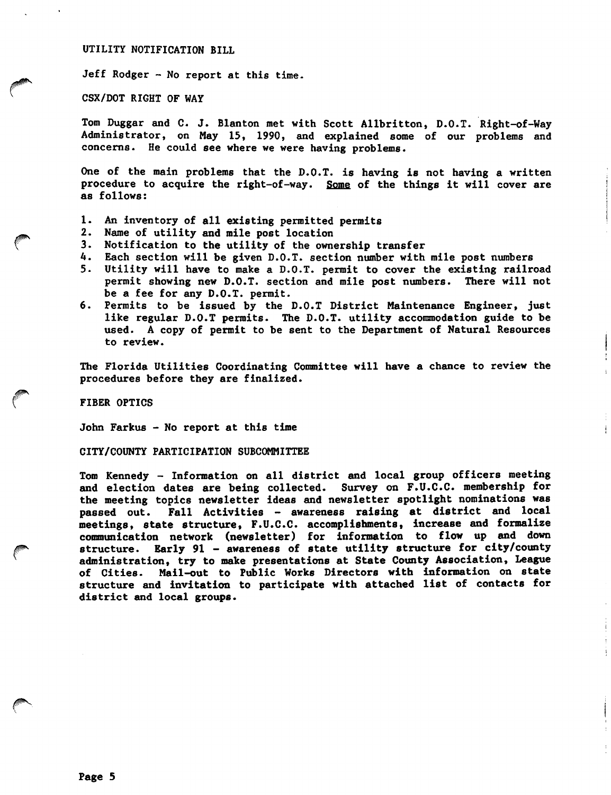UTILITY NOTIFICATION BILL

Jeff Rodger - No report at this time.

CSX/DOT RIGHT OF WAY

Tom Duggar and C. J. Blanton met with Scott Allbritton, D.O.T. Right-of-Way Administrator, on May 15, 1990, and explained some of our problems and concerns. He could see where we were having problems.

One of the main problems that the D.O.T. is having is not having a written procedure to acquire the right-of-way. Some of the things it will cover are as follows:

- 1. An inventory of all existing permitted permits
- 2. Name of utility and mile post location
- 3. Notification to the utility of the ownership transfer
- 4. Each section will be given D.O.T. section number with mile post numbers
- 5. Utility will have to make a D.O.T. permit to cover the existing railroad permit showing new D.O.T. section and mile post numbers. There will not be a fee for any D.O.T. permit.
- 6. Permits to be issued by the D.O.T District Maintenance Engineer, just like regular D.O.T permits. The D.O.T. utility accommodation guide to be used. A copy of permit to be sent to the Department of Natural Resources to review.

The Florida Utilities Coordinating Committee will have a chance to review the procedures before they are finalized.

FIBER OPTICS

John Farkus - No report at this time

CITY/COUNTY PARTICIPATION SUBCOMMITTEE

Tom Kennedy - Information on all district and local group officers meeting and election dates are being collected. Survey on F.U.C.C. membership for the meeting topics newsletter ideas and newsletter spotlight nominations was passed out. Fall Activities - awareness raising at district and local meetings, state structure, F.U.C.C. accomplishments, increase and formalize communication network (newsletter) for information to flow up and down structure. Early 91 - awareness of state utility structure for city/county administration, try to make presentations at State County Association, League of Cities. Mail-out to Public Works Directors with Information on state structure and invitation to participate with attached list of contacts for district and local groups.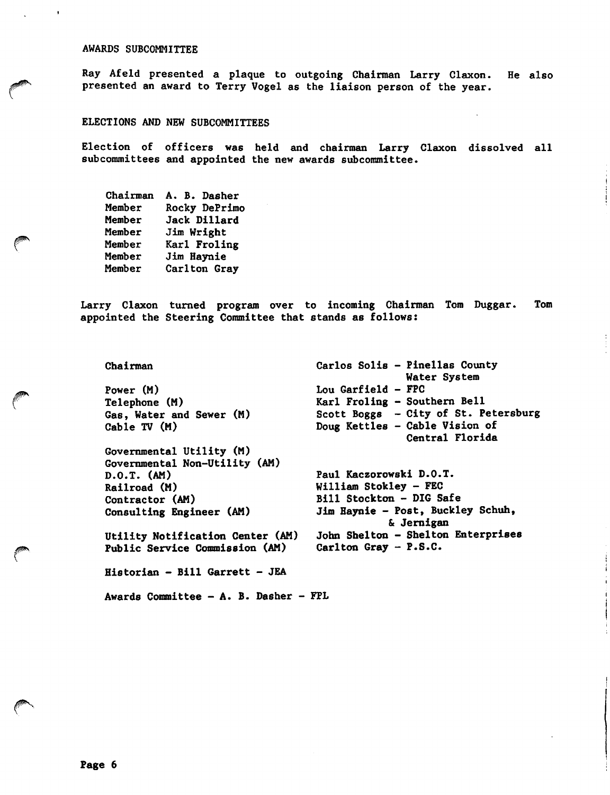## AWARDS SUBCOMMITTEE

Ray Afeld presented a plaque to outgoing Chairman Larry Claxon. presented an award to Terry Vogel as the liaison person of the year. He also

### ELECTIONS AND NEW SUBCOMMITTEES

Election of officers was held and chairman Larry Claxon dissolved all subcommittees and appointed the new awards subcommittee.

| Chairman | A. B. Dasher  |
|----------|---------------|
| Member   | Rocky DePrimo |
| Member   | Jack Dillard  |
| Member   | Jim Wright    |
| Member   | Karl Froling  |
| Member   | Jim Haynie    |
| Member   | Carlton Gray  |

Larry Claxon turned program over to incoming Chairman Tom Duggar. appointed the Steering Committee that stands as follows: Tom

Chairman Power (M) Telephone (M) Gas, Water and Sewer (M) Cable TV (M) Governmental Utility (M) Governmental Non-Utility (AM) D.O.T. (AM) Railroad (M) Contractor (AM) Consulting Engineer (AM) Utility Notification Center (AM) Public Service Commission (AM) Historian - Bill Garrett - JEA Carlos Soils - Pinellas County Lou Garfield - FPC Karl Froling - Southern Bell Scott Boggs - City of St. Petersburg Doug Kettles - Cable Vision of Water System Central Florida Paul Kaczorowski D.O.T. William Stokley - FEC Bill Stockton - DIG Safe Jim Haynie - Post, Buckley Schuh, & Jernigan John Shelton - Shelton Enterprises Carlton Gray - P.S.C.

Awards Committee - A. B. Dasher - FPL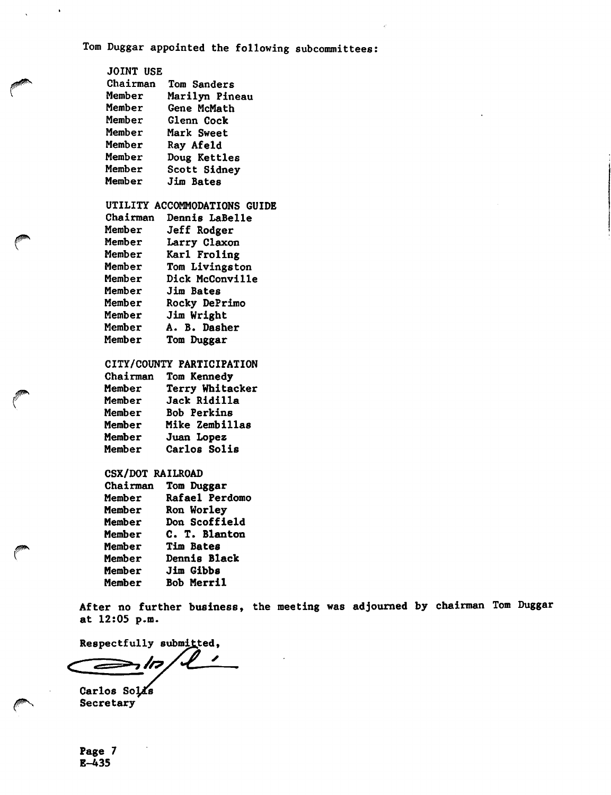Tom Duggar appointed the following subcommittees:

| JOINT USE |                   |
|-----------|-------------------|
| Chairman  | Tom Sanders       |
| Member    | Marilyn Pineau    |
| Member    | Gene McMath       |
| Member    | Glenn Cock        |
| Member    | <b>Mark Sweet</b> |
| Member    | Ray Afeld         |
| Member    | Doug Kettles      |
| Member    | Scott Sidney      |
| Member    | Jim Bates         |
|           |                   |
|           |                   |

 $\ddot{\phantom{0}}$ 

# UTILITY ACCOMMODATIONS GUIDE

| <b>Dennis LaBelle</b> |
|-----------------------|
| Jeff Rodger           |
| Larry Claxon          |
| Karl Froling          |
| Tom Livingston        |
| Dick McConville       |
| Jim Bates             |
| Rocky DePrimo         |
| Jim Wright            |
| A. B. Dasher          |
| Tom Duggar            |
|                       |

# CITY/COUNTY PARTICIPATION

| Chairman | Tom Kennedy     |
|----------|-----------------|
| Member   | Terry Whitacker |
| Member   | Jack Ridilla    |
| Member   | Bob Perkins     |
| Member   | Mike Zembillas  |
| Member   | Juan Lopez      |
| Member   | Carlos Solis    |
|          |                 |

## CSX/DOT RAILROAD

| Chairman | Tom Duggar     |
|----------|----------------|
| Member   | Rafael Perdomo |
| Member   | Ron Worley     |
| Member   | Don Scoffield  |
| Member   | C. T. Blanton  |
| Member   | Tim Bates      |
| Member   | Dennis Black   |
| Member   | Jim Gibbs      |
| Member   | Bob Merril     |
|          |                |

After no further business, the meeting was adjourned by chairman Tom Duggar at 12:05 p.m.

Respectfully submitted,

◢  $\Rightarrow$  / $\sigma$ É

Carlos Solas Secretary

r

Page 7 E-435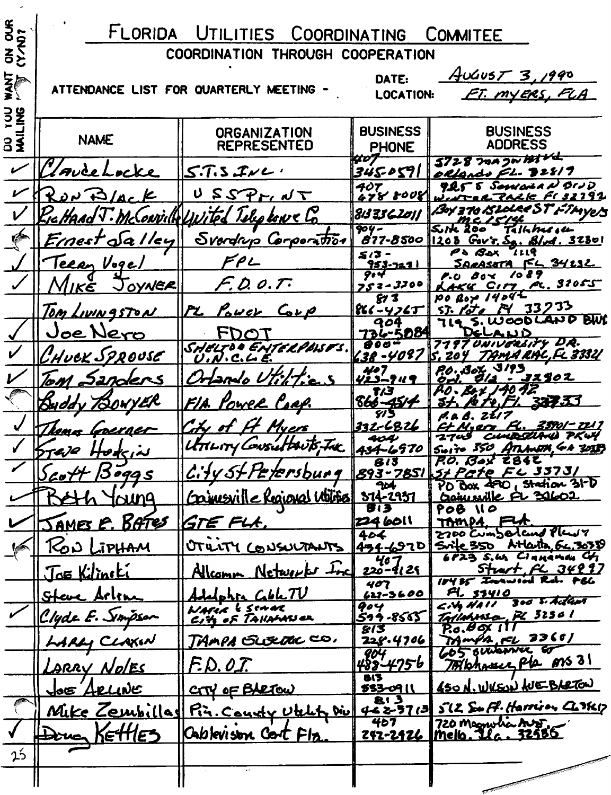| <b>g</b>                               |                        | FLORIDA UTILITIES COORDINATING COMMITEE        |                                 |                                                                    |
|----------------------------------------|------------------------|------------------------------------------------|---------------------------------|--------------------------------------------------------------------|
| $\frac{9}{5}$                          |                        | COORDINATION THROUGH COOPERATION               |                                 |                                                                    |
| <b>SKA</b>                             |                        | ATTENDANCE LIST FOR QUARTERLY MEETING -        | DATE:<br><b>LOCATION:</b>       | AUST3,1990<br><u>FT. MYERS, FLA</u>                                |
| $rac{2}{5}$<br>$\overline{\mathbf{z}}$ | <b>NAME</b>            | <b>ORGANIZATION</b><br><b>REPRESENTED</b>      | <b>BUSINESS</b><br><b>PHONE</b> | <b>BUSINESS</b><br><b>ADDRESS</b>                                  |
|                                        | suceLocke              | $5.7.5$ JNL.                                   | 407<br>345-0591                 | $5728$ magnitude<br>olfands FL. <b>J</b> 28/9                      |
|                                        | KovD/Lck               | $U$ $SSP_{FI}$ $NT$                            | 407<br>478 8008                 | Pet 5 Semana N BID<br><u>-CARALE FISZI92</u>                       |
|                                        | KicHAAd V.<br>McLowidd | vited Telephone Co                             | 8i3 3 <i>3 6 Zo\ </i>           | Boy 370 BLOLOGE ST FTMYCS                                          |
|                                        | Ernest Salley          | Svardrup Corporation                           | 904-<br>$877 - 8500$            | Talhharace<br>5.1200<br>$1208$ Gov's, $SA$ , $B/\sqrt{d}$ , $3280$ |
|                                        | <u>Terry Vogel</u>     | FPL                                            | 513 -<br><u>953-7271</u>        | PS Bax<br>SARASTTA FL 34232                                        |
|                                        | MIKE JOYNER            | F. D. O. T.                                    | 9.4<br>$753 - 3300$             | 70 8 9<br>Øa≪<br>P.O.<br><u>+KU CITY FC.</u> 32055                 |
|                                        | <u>Tom Livingston</u>  | PL POWER CORP                                  | 81 Z<br> とく - ソフム丁              | $po$ <i>Boy</i> $14044$<br><u>150 R 33</u> 233<br>SJ.              |
|                                        | Joe Nero               |                                                | 904<br><u>736-5084</u>          | 719 S. WOODLAND BUN                                                |
|                                        | CHUCK SPROUSE          | SHELTOO ENTELPOISTS.                           | $00 -$<br>638-Y097              | 7797 UNIVERSITY DR.<br>204 TAMARAC, FL 33321                       |
|                                        |                        |                                                | 407                             | 20. Box 3193<br><u> 32502 </u>                                     |
|                                        | Tom Sanders            | Ortando Utilities                              | リえコークハイ<br>オノコ                  | fo. <b>Be</b> t 140 42                                             |
|                                        | Byddy 730WYER          | <u>FIA Yower Coap.</u>                         | $rac{866-451+}{575}$            | 327.33                                                             |
|                                        | Jean Louraet           | City of Ht Myers                               | 222-6826                        | 35701 - 221 7<br>CHHE CLAA<br>PKW                                  |
|                                        | Brase Hodein           | UTTLITY CONSULTANTS. THE                       |                                 | 434-6970 Suite 350 ATLANTA, 64 3018)                               |
|                                        | Scott Boggs            | City St Petersburg                             | 813                             | P.O. Box 2842<br><u>893-7851 St Pate FL 33731</u>                  |
|                                        | <u>icung</u>           | Conjuentle Regional Utilities                  | $\overline{P}$<br>$314 - 2951$  | $P_0$ Box 490, Station 31- $\overline{D}$<br>Crainwille FL 30602   |
|                                        | JAMES E. BATES         | GTE FLA.                                       | <b>813</b><br>224 6011          | POB 110<br>TAMPA FLA                                               |
|                                        |                        |                                                | 404                             | 2700 Cumpodand Plan7<br>Srife 350 Atlarta Gc.3038                  |
|                                        | RON LIPHAM             | OTULTY CONSULTANTS                             | 434-6970<br>220-9129            | 6823 S.W. CIAMAMON CV                                              |
|                                        | Joe Kilinski           | Allcomm Networks Inc                           | 407                             | Sturt RC 34997<br>18435 Inconvent Rd. FBG                          |
|                                        | <u>Steve Arline</u>    | Adelphia Coblett<br>WARIA & SCHAR              | 627-3600<br>904                 | FL 53410<br>$6.4$ HAII 300 5. Acteur                               |
|                                        | Clyde E. Simpson       | City of TAILAMANCE                             | 599-8565  <br>813               | Tallahossa, PL 32301<br>$P.0.60 \times 11$                         |
|                                        | LARLY CLAXIN           | TAMPA GUERRACO.                                | 228.4706                        | TAMPA, FL 23601<br>605 ouverne co                                  |
|                                        | LARRY NolEs            | F.D.O.T.                                       | 404<br>488-4756                 | Totahouse Pla ms 31                                                |
|                                        | <u>Joe Arcune</u>      | CTY OF BARTOW                                  | 813<br>533-0911                 | 450 N. WVEON WE BARTON                                             |
|                                        |                        | <u>Mike Zembillad Pin. County Utility Divi</u> | E 1 <b>8</b><br>46 2-57 (의      | SLZ Suff. Harrison CLIKIT                                          |
|                                        | Dona KETTLES           | Cablevison Cort Fla                            | 467<br><u> 242-2426</u>         | 720 Magnulia Australia<br>Mello . Ila . 32586                      |
| 25                                     |                        |                                                |                                 |                                                                    |
|                                        |                        |                                                |                                 |                                                                    |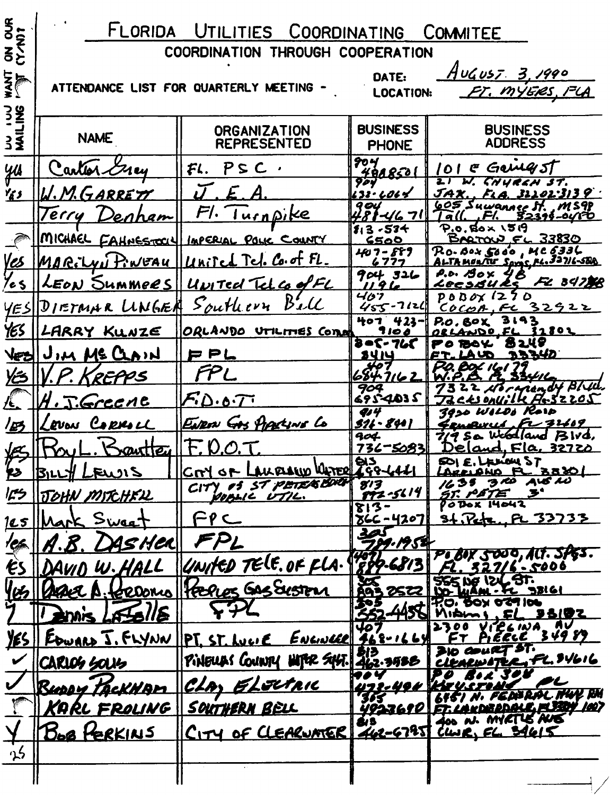| g                          | FLORIDA UTILITIES COORDINATING<br>COMMITEE |                                           |                                 |                                                                     |
|----------------------------|--------------------------------------------|-------------------------------------------|---------------------------------|---------------------------------------------------------------------|
| のそと                        | COORDINATION THROUGH COOPERATION           |                                           |                                 |                                                                     |
| <b>NAT</b>                 |                                            | ATTENDANCE LIST FOR QUARTERLY MEETING -   | DATE:<br><b>LOCATION:</b>       | <u>August 3,1990</u><br>FT. MYERS, FLA                              |
| <b>324</b><br>-<br>-<br>33 | <b>NAME</b>                                | <b>ORGANIZATION</b><br><b>REPRESENTED</b> | <b>BUSINESS</b><br><b>PHONE</b> | <b>BUSINESS</b><br><b>ADDRESS</b>                                   |
| <u>yu</u>                  | Carter Grey                                | $PSC$ .<br>FL.                            | 90 Y<br><u>4088501</u>          | $E$ Gerrig $5$ $\Gamma$<br>101                                      |
| Ye s                       | <u>I.M.GARRETT</u>                         | $\mathcal{F}$                             | 904<br>133.4064                 | W. CHURCH ST.<br><u>JAX. . FLA. 31101.3139</u>                      |
|                            | Terry<br>enham                             | Fl. Iurnpike                              | 9 OU<br>$-1671$                 | 605 Suwannee St., MS98<br>FI.<br>l a (l.<br><u>82314-0410</u>       |
|                            |                                            | MICHAEL FAHNESTOCKY IMPERIAL POLIC COUNTY | $13 - 53 +$<br>6500             | $P.0.80 \times 15.9$<br>BARTOW FL 33830                             |
|                            | MARILVI PINEAU                             | United Tel. Co. of FL.                    | 407-889<br>6777                 | $Ro$ - Box $S$ odo, MC $\delta$ 336<br>ALTAMONTE SAME PL. 32716-58A |
| <u>Ves</u><br>Yes          |                                            | LEON SUMMORS UNITEd Telco of FL           | 904326<br>1196                  | P.O. BOX<br>FL 34738<br><u>LecsBURS</u>                             |
| <u>YES</u>                 |                                            | DIETMAR LINGER Southern Ball              | 407<br>$455 - 7124$             | $P$ 0 $B$ $OX$ (2<br>7 O<br>COCOR, FL 32922                         |
| <u>yes</u>                 | LARRY KUNZE                                | ORLANDO UTILITIES COME                    | <b>407 423-1</b><br>7 10 J      | 3193<br>P.O. BOX<br>32802<br>ORLANDO FL                             |
| VEZ                        | IIM MECLAIN                                | アアム                                       | るの5-765<br><b>S414</b>          | 8 2.49<br>PO BOY<br>33342<br><u>LAUD</u>                            |
| YES                        | KREPPS                                     | FPL                                       | <del>4</del> 07<br>6847162      | BOL 161                                                             |
|                            |                                            |                                           | 904<br>882-4035                 | 22 Normandy Blue.<br>CESONVille A.SZZOS                             |
|                            | J.Greene                                   | F.D.O.T.                                  | <b>4</b> 14                     | 3950 WILDS Rord                                                     |
| 四                          | RUON CORMIL                                | ENRON GAS PIPALINE LO                     | $511 - 8401$<br>904             | Genevus, Fr 32609<br>$7/9$ So Webdland $B$ $V$ d,                   |
| KS                         |                                            | F. 0.0.7                                  | 736-50831                       | Deland, Fla, 32720<br>SO(5,1)                                       |
| $\epsilon$                 | <b>BILLY LEWIS</b>                         | CITY OF LAKELAW WATER 298-6461            | 8'3                             | APPLANO FL 38801<br>3ND ALS NO<br>1635                              |
| كالم                       | <u>JOHN MITCHELL</u>                       | CITY OF ST PETERBORN                      | <u>192-5614</u><br>$813 -$      | $\mathcal{F}^{\bullet}$<br><u>ST. PETE</u><br>PODOX 14042           |
| <u> 125</u>                | Mark Sweet                                 | ے م⇒                                      | <u> 866 - 4207 </u>             | 34. Peter FL 33733                                                  |
| 'Çfo                       | <u>ysHer</u>                               |                                           | لحمد<br>789.1954                |                                                                     |
| ËS                         | DAVID W.HALL                               | UNITED TELE. OF FLA.                      | <b>FOTO-6813</b>                | PLEOX 5000, ALT. SPES.<br>32716.5006                                |
|                            | férrons                                    | Helles GAS System                         | A95 2522                        | SSS NE IZL ST.<br>10- MAM- TC 98161                                 |
|                            | Falle                                      |                                           |                                 | <b>P.O. BOX 029106</b><br><b>35102</b><br>FL                        |
| <u>YES</u>                 | J. FLYNN                                   | IIPI, ST, LuvE                            | 407<br><u>ENGINEER 768-1664</u> | AV<br>VICLINA<br>PIECCE 34989                                       |
|                            | <b>CARLOS SOLIS</b>                        | PINEURS COUNTY HITER SYST.                | $\frac{1}{2}$<br>462.3988       | 310 COURT ST.<br>CLEARWATER, FL. 94616                              |
|                            |                                            | <u>ELECTRIC</u>                           |                                 |                                                                     |
|                            | Burry tackHam                              | <u>CLAY</u>                               | 365                             | <u>UTE-49H [KITU.STONC</u><br>151 N. FEDISRAL HUY RH                |
|                            | <u>KARL FROLING</u>                        | <u>SOUTHERN BELL</u>                      | <u>4923610  </u><br>Er B        | <b>ET. LANDEADALE FLEET 1007</b><br>400 N. MYRTUS AUS               |
|                            | <b>BOB FERKINS</b>                         | CITY OF CLEARWATER                        |                                 | 462-6795 CWR, EL 34615                                              |
| 25                         |                                            |                                           |                                 |                                                                     |
|                            |                                            |                                           |                                 |                                                                     |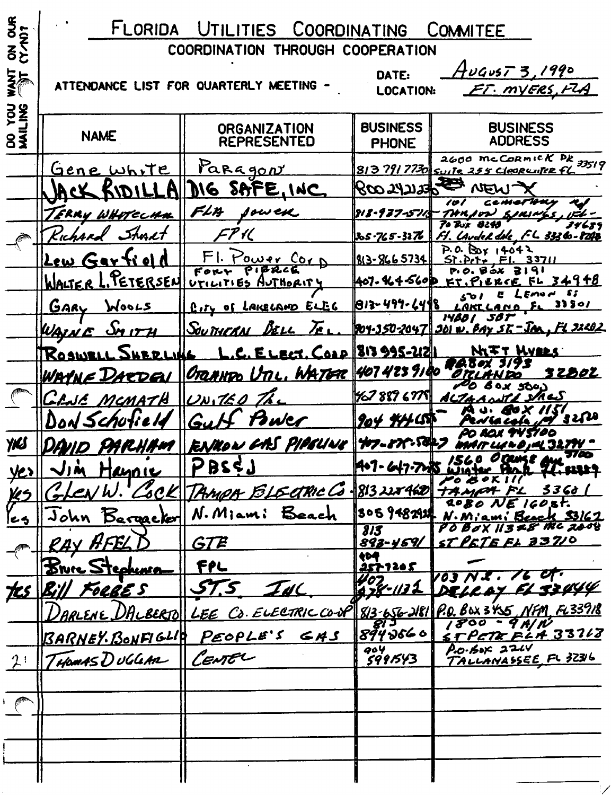|                                             | FLORIDA                                                                                                        | UTILITIES COORDINATING                               |                                 | COMMITEE                                                                                                    |  |
|---------------------------------------------|----------------------------------------------------------------------------------------------------------------|------------------------------------------------------|---------------------------------|-------------------------------------------------------------------------------------------------------------|--|
| <b>つそと</b>                                  | COORDINATION THROUGH COOPERATION                                                                               |                                                      |                                 |                                                                                                             |  |
|                                             | <u>August 3,1990</u><br>DATE:<br>ATTENDANCE LIST FOR QUARTERLY MEETING .<br>ET. MYERS, FLA<br><b>LOCATION:</b> |                                                      |                                 |                                                                                                             |  |
| <b>SAL</b><br><b>SS</b><br>$8\bar{\bar{3}}$ | <b>NAME</b>                                                                                                    | <b>ORGANIZATION</b><br><b>REPRESENTED</b>            | <b>BUSINESS</b><br><b>PHONE</b> | <b>BUSINESS</b><br><b>ADDRESS</b>                                                                           |  |
|                                             | <u>Gene</u> white                                                                                              | Paragon                                              |                                 | 2600 McCORMICK PR 33519<br>8137917730 Suite 255 Clearwiter fl                                               |  |
|                                             |                                                                                                                | DIG SAFE, INC                                        | $R$ co synsys                   |                                                                                                             |  |
|                                             | ERRY WHOTECHN                                                                                                  | FLM<br>sowek                                         | 818-937-5713                    |                                                                                                             |  |
|                                             | Kichard Shurt                                                                                                  |                                                      | 205.765-3276                    | 34689<br>Laudek døk FL 33360-8248                                                                           |  |
|                                             | <u>Lew Gartield</u>                                                                                            | F1.1<br><u>FOWER COT</u>                             | 813-8665734                     | P.0.000114042<br>Sì                                                                                         |  |
|                                             | WALTER L. PETERSEN UTILITIES AUTHORITY                                                                         |                                                      | 407.464560 <b>p</b>             | 34948                                                                                                       |  |
|                                             | WOOLS<br><b>GARY</b>                                                                                           | City of LAKELAND ELEC                                | 813-499-6498                    | s;<br>Emo H<br>33501<br>LAKL L<br>AND                                                                       |  |
|                                             | WAIN E                                                                                                         | <u>Sou încrea</u><br>$\overline{A}$                  |                                 | SBT<br><i>1480 I</i><br><u>1904-350-2047   JOI w. BAY ST - JAN, FL J2202</u>                                |  |
|                                             | <b>Rosw</b><br><b>UBDLING</b>                                                                                  | <u>C. ELECT. COOP 813995-21211</u>                   |                                 | NGTT WYLLS                                                                                                  |  |
|                                             | WAYNE DARDEN                                                                                                   | OTRANTO UTIL, WATER 407 423 9100                     |                                 | <u>32802</u>                                                                                                |  |
|                                             | <u> CLIE MCMATH</u>                                                                                            | $  \mathcal{U}\mathcal{N}  $                         | 76788767751                     | 50e.)<br>لاسه ۲۸<br>AL                                                                                      |  |
|                                             | Don Schulie                                                                                                    | Gul<br>Buler                                         | $904$ #41000                    | 3220                                                                                                        |  |
| YKS                                         |                                                                                                                | <u>ID PARHAM RENNOW CAS PIPELINE 47-87-5847</u>      |                                 | P JAL 32.77V                                                                                                |  |
|                                             | <u>Jin Haynie</u>                                                                                              | PBSEJ                                                | A+7-647-7285 W                  | 37 AC<br>where Both The search                                                                              |  |
| <u>KS</u>                                   |                                                                                                                | Len W. Cock TAMPA BLECTRIC G-813228460 TAMPA FL 3360 |                                 |                                                                                                             |  |
| ヒっ                                          | John Bergacker                                                                                                 | N. Miami Beach                                       |                                 | $2080$ NE $160.8t$ .<br>3059482924 N. Miami Beach 33167                                                     |  |
|                                             | RAY AFEL                                                                                                       | GTE                                                  | 313<br><u>893-459/1</u>         | $60X11378$ the 2008<br>ST PETE FL 33710                                                                     |  |
|                                             | Bruce Stephensen                                                                                               | デアレ                                                  | 404<br>257120 S                 |                                                                                                             |  |
|                                             | <u>tes Bill Foebe s</u>                                                                                        | 57.5<br>INC                                          | $407$<br>078-1132               | $\overline{\phantom{a}}$<br>V03 N.X .<br>DELLAY FL SSUYY                                                    |  |
|                                             |                                                                                                                |                                                      |                                 |                                                                                                             |  |
|                                             |                                                                                                                | BARNEY BONFIGLIO PEOPLE'S GAS                        | 8943660                         | DARLENE DALBERTO LEE CO. ELECTRIC CO-UP 813-656-2181 P.O. BOX 3455, NFM, FL33918<br><u>STPETR FLA 33168</u> |  |
| 2!                                          | THOMAS DUGGAR CENTEL                                                                                           |                                                      | 904<br>5991543                  | P.0.6052244<br>TALLANASSEE FL 32316                                                                         |  |
|                                             |                                                                                                                |                                                      |                                 |                                                                                                             |  |
|                                             |                                                                                                                |                                                      |                                 |                                                                                                             |  |
|                                             |                                                                                                                |                                                      |                                 |                                                                                                             |  |
|                                             |                                                                                                                |                                                      |                                 |                                                                                                             |  |
|                                             |                                                                                                                |                                                      |                                 |                                                                                                             |  |
|                                             |                                                                                                                |                                                      |                                 |                                                                                                             |  |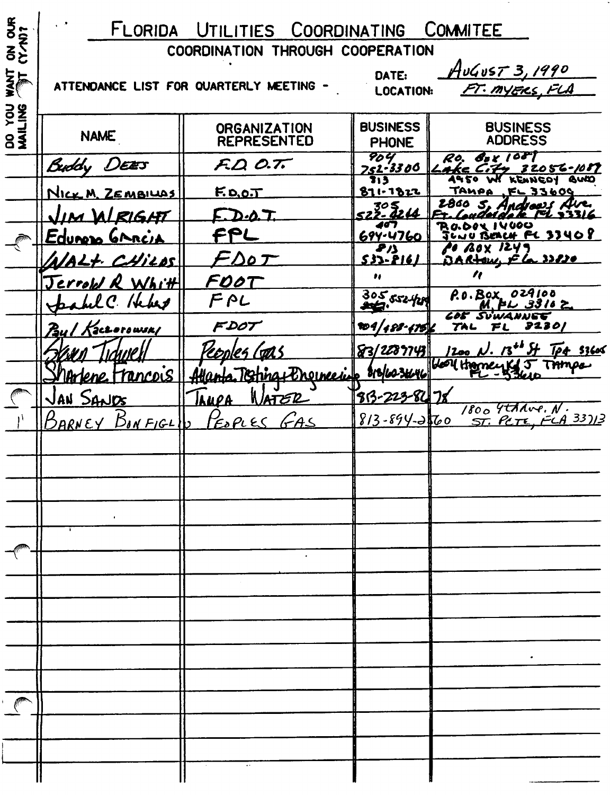| $\frac{1}{5}$                          | FLORIDA UTILITIES COORDINATING COMMITEE                                                                  |                                           |                                 |                                                                   |  |
|----------------------------------------|----------------------------------------------------------------------------------------------------------|-------------------------------------------|---------------------------------|-------------------------------------------------------------------|--|
| こうこう                                   | COORDINATION THROUGH COOPERATION                                                                         |                                           |                                 |                                                                   |  |
| 지 <u>지</u>                             | AUGUST 3, 1990<br>DATE:<br>ATTENDANCE LIST FOR QUARTERLY MEETING -<br>FT. MYERS, FLA<br><b>LOCATION:</b> |                                           |                                 |                                                                   |  |
| <b>SAIT</b><br>$\overline{\mathbf{3}}$ | <b>NAME</b>                                                                                              | <b>ORGANIZATION</b><br><b>REPRESENTED</b> | <b>BUSINESS</b><br><b>PHONE</b> | <b>BUSINESS</b><br><b>ADDRESS</b>                                 |  |
|                                        | Buddy DEES                                                                                               | FQO.T.                                    | 904<br><u>752-3300</u>          | RO.<br>$g_{\rm B}$ r 1087<br>32056-1087                           |  |
|                                        | NICK M. ZEMBILLAS                                                                                        | <u>F.D.O.T</u>                            | 713<br>871-1822                 | 62 PA<br><b>AUD</b><br>KENNEDY<br><b>TAHPA</b><br><b>FL 33609</b> |  |
|                                        | <u>JIM ALRIGHT</u>                                                                                       | D-0. T.                                   | 522-2214                        |                                                                   |  |
|                                        | <u>Edunno GARCIA</u>                                                                                     |                                           | <i>66</i> T<br>$699 - 4760$     | ု၊ မဖေမ<br><u>JUBERCH FC 33408</u>                                |  |
|                                        | <u>AIALT CHILOS</u>                                                                                      | $-DoT$                                    | 81)<br><u>533-8161</u>          | <b>BOX 1249</b><br>DARtow Ela 32820                               |  |
|                                        | Jerrold R Whitt                                                                                          | FOOT                                      | ,,                              |                                                                   |  |
|                                        | abel C. Hebert                                                                                           | FPL                                       | 305,552,420                     | P.O. BOX 029100<br>$M.$ FL 3316 $\succeq$                         |  |
|                                        | Paul Kaczorowski                                                                                         | FDOT                                      | 204/488-47516                   | <b><i>COF SUWANNET</i></b><br><b>J2301</b><br><b>TAL</b><br>FL    |  |
|                                        |                                                                                                          | <u>repoles (str.)</u>                     | 83/2289743                      | $1200$ N. $13^{40}$ of Tp4 53600                                  |  |
|                                        | rance is 11 Atlan                                                                                        | Torrial Dreweis                           | Brolco 34646                    | Holl Homey Kg J TAmps                                             |  |
|                                        | JAN SANDS                                                                                                | laupa<br>WATER                            | 83-223-84                       |                                                                   |  |
|                                        | BARNEY BONFIGLIN                                                                                         | FOPLES GAS                                | $813 - 894 - 3760$              | $1800$ Tthave. N.<br>ST. PCTE, FCA 33)13                          |  |
|                                        |                                                                                                          |                                           |                                 |                                                                   |  |
|                                        |                                                                                                          |                                           |                                 |                                                                   |  |
|                                        |                                                                                                          |                                           |                                 |                                                                   |  |
|                                        |                                                                                                          |                                           |                                 |                                                                   |  |
|                                        |                                                                                                          |                                           |                                 |                                                                   |  |
|                                        |                                                                                                          |                                           |                                 |                                                                   |  |
|                                        |                                                                                                          |                                           |                                 |                                                                   |  |
|                                        |                                                                                                          |                                           |                                 |                                                                   |  |
|                                        |                                                                                                          |                                           |                                 |                                                                   |  |
|                                        |                                                                                                          |                                           |                                 |                                                                   |  |
|                                        |                                                                                                          |                                           |                                 |                                                                   |  |
|                                        |                                                                                                          |                                           |                                 |                                                                   |  |
|                                        |                                                                                                          |                                           |                                 |                                                                   |  |
|                                        |                                                                                                          |                                           |                                 |                                                                   |  |
|                                        |                                                                                                          |                                           |                                 |                                                                   |  |
|                                        |                                                                                                          |                                           |                                 |                                                                   |  |